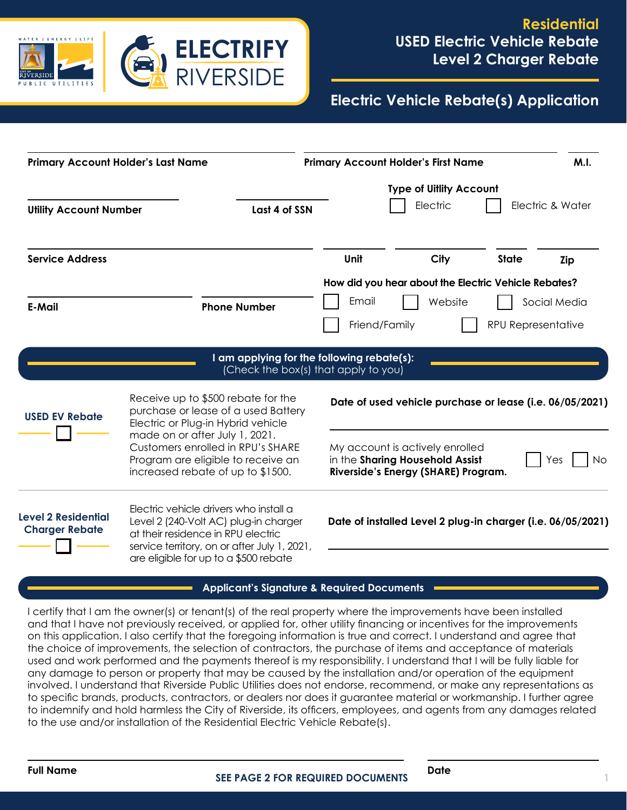

# **Electric Vehicle Rebate(s) Application**

| <b>Primary Account Holder's Last Name</b>           |                                                                                                                                                                                                                                                                   | <b>Primary Account Holder's First Name</b>                                                                      | M.I.             |
|-----------------------------------------------------|-------------------------------------------------------------------------------------------------------------------------------------------------------------------------------------------------------------------------------------------------------------------|-----------------------------------------------------------------------------------------------------------------|------------------|
| <b>Utility Account Number</b>                       | Last 4 of SSN                                                                                                                                                                                                                                                     | <b>Type of Uillity Account</b><br>Electric                                                                      | Electric & Water |
| <b>Service Address</b>                              |                                                                                                                                                                                                                                                                   | Unit<br>City<br><b>State</b>                                                                                    | Zip              |
| <b>E-Mail</b>                                       | <b>Phone Number</b>                                                                                                                                                                                                                                               | How did you hear about the Electric Vehicle Rebates?<br>Email<br>Website<br>Friend/Family<br>RPU Representative | Social Media     |
|                                                     |                                                                                                                                                                                                                                                                   | I am applying for the following rebate(s):<br>(Check the box(s) that apply to you)                              |                  |
| <b>USED EV Rebate</b>                               | Receive up to \$500 rebate for the<br>purchase or lease of a used Battery<br>Electric or Plug-in Hybrid vehicle<br>made on or after July 1, 2021.<br>Customers enrolled in RPU's SHARE<br>Program are eligible to receive an<br>increased rebate of up to \$1500. | Date of used vehicle purchase or lease (i.e. 06/05/2021)                                                        |                  |
|                                                     |                                                                                                                                                                                                                                                                   | My account is actively enrolled<br>in the Sharing Household Assist<br>Riverside's Energy (SHARE) Program.       | No.<br>Yes       |
| <b>Level 2 Residential</b><br><b>Charger Rebate</b> | Electric vehicle drivers who install a<br>Level 2 (240-Volt AC) plug-in charger<br>at their residence in RPU electric<br>service territory, on or after July 1, 2021,<br>are eligible for up to a \$500 rebate                                                    | Date of installed Level 2 plug-in charger (i.e. 06/05/2021)                                                     |                  |

#### **Applicant's Signature & Required Documents**

I certify that I am the owner(s) or tenant(s) of the real property where the improvements have been installed and that I have not previously received, or applied for, other utility financing or incentives for the improvements on this application. I also certify that the foregoing information is true and correct. I understand and agree that the choice of improvements, the selection of contractors, the purchase of items and acceptance of materials used and work performed and the payments thereof is my responsibility. I understand that I will be fully liable for any damage to person or property that may be caused by the installation and/or operation of the equipment involved. I understand that Riverside Public Utilities does not endorse, recommend, or make any representations as to specific brands, products, contractors, or dealers nor does it guarantee material or workmanship. I further agree to indemnify and hold harmless the City of Riverside, its officers, employees, and agents from any damages related to the use and/or installation of the Residential Electric Vehicle Rebate(s).